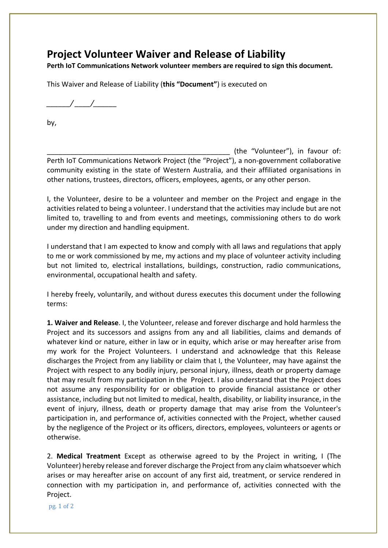## **Project Volunteer Waiver and Release of Liability**

**Perth IoT Communications Network volunteer members are required to sign this document.** 

This Waiver and Release of Liability (**this "Document"**) is executed on

*\_\_\_\_\_\_/ \_\_\_\_/\_\_\_\_\_\_* 

by,

(the "Volunteer"), in favour of: Perth IoT Communications Network Project (the "Project"), a non-government collaborative community existing in the state of Western Australia, and their affiliated organisations in other nations, trustees, directors, officers, employees, agents, or any other person.

I, the Volunteer, desire to be a volunteer and member on the Project and engage in the activities related to being a volunteer. I understand that the activities may include but are not limited to, travelling to and from events and meetings, commissioning others to do work under my direction and handling equipment.

I understand that I am expected to know and comply with all laws and regulations that apply to me or work commissioned by me, my actions and my place of volunteer activity including but not limited to, electrical installations, buildings, construction, radio communications, environmental, occupational health and safety.

I hereby freely, voluntarily, and without duress executes this document under the following terms:

**1. Waiver and Release**. I, the Volunteer, release and forever discharge and hold harmless the Project and its successors and assigns from any and all liabilities, claims and demands of whatever kind or nature, either in law or in equity, which arise or may hereafter arise from my work for the Project Volunteers. I understand and acknowledge that this Release discharges the Project from any liability or claim that I, the Volunteer, may have against the Project with respect to any bodily injury, personal injury, illness, death or property damage that may result from my participation in the Project. I also understand that the Project does not assume any responsibility for or obligation to provide financial assistance or other assistance, including but not limited to medical, health, disability, or liability insurance, in the event of injury, illness, death or property damage that may arise from the Volunteer's participation in, and performance of, activities connected with the Project, whether caused by the negligence of the Project or its officers, directors, employees, volunteers or agents or otherwise.

2. **Medical Treatment** Except as otherwise agreed to by the Project in writing, I (The Volunteer) hereby release and forever discharge the Project from any claim whatsoever which arises or may hereafter arise on account of any first aid, treatment, or service rendered in connection with my participation in, and performance of, activities connected with the Project.

pg. 1 of 2